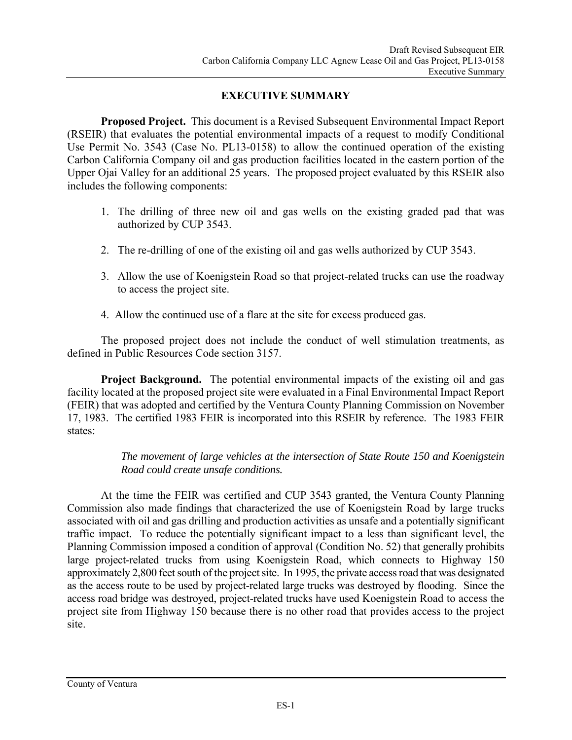## **EXECUTIVE SUMMARY**

**Proposed Project.** This document is a Revised Subsequent Environmental Impact Report (RSEIR) that evaluates the potential environmental impacts of a request to modify Conditional Use Permit No. 3543 (Case No. PL13-0158) to allow the continued operation of the existing Carbon California Company oil and gas production facilities located in the eastern portion of the Upper Ojai Valley for an additional 25 years. The proposed project evaluated by this RSEIR also includes the following components:

- 1. The drilling of three new oil and gas wells on the existing graded pad that was authorized by CUP 3543.
- 2. The re-drilling of one of the existing oil and gas wells authorized by CUP 3543.
- 3. Allow the use of Koenigstein Road so that project-related trucks can use the roadway to access the project site.
- 4. Allow the continued use of a flare at the site for excess produced gas.

The proposed project does not include the conduct of well stimulation treatments, as defined in Public Resources Code section 3157.

**Project Background.** The potential environmental impacts of the existing oil and gas facility located at the proposed project site were evaluated in a Final Environmental Impact Report (FEIR) that was adopted and certified by the Ventura County Planning Commission on November 17, 1983. The certified 1983 FEIR is incorporated into this RSEIR by reference. The 1983 FEIR states:

> *The movement of large vehicles at the intersection of State Route 150 and Koenigstein Road could create unsafe conditions.*

At the time the FEIR was certified and CUP 3543 granted, the Ventura County Planning Commission also made findings that characterized the use of Koenigstein Road by large trucks associated with oil and gas drilling and production activities as unsafe and a potentially significant traffic impact. To reduce the potentially significant impact to a less than significant level, the Planning Commission imposed a condition of approval (Condition No. 52) that generally prohibits large project-related trucks from using Koenigstein Road, which connects to Highway 150 approximately 2,800 feet south of the project site. In 1995, the private access road that was designated as the access route to be used by project-related large trucks was destroyed by flooding. Since the access road bridge was destroyed, project-related trucks have used Koenigstein Road to access the project site from Highway 150 because there is no other road that provides access to the project site.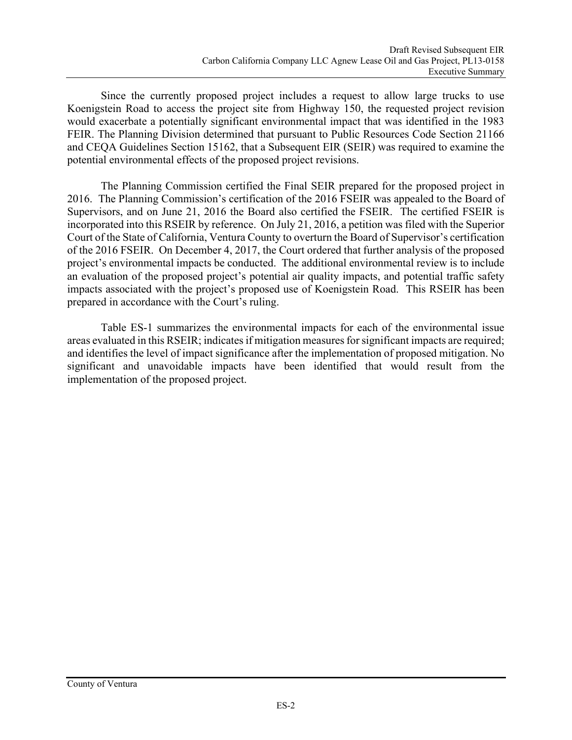Since the currently proposed project includes a request to allow large trucks to use Koenigstein Road to access the project site from Highway 150, the requested project revision would exacerbate a potentially significant environmental impact that was identified in the 1983 FEIR. The Planning Division determined that pursuant to Public Resources Code Section 21166 and CEQA Guidelines Section 15162, that a Subsequent EIR (SEIR) was required to examine the potential environmental effects of the proposed project revisions.

The Planning Commission certified the Final SEIR prepared for the proposed project in 2016. The Planning Commission's certification of the 2016 FSEIR was appealed to the Board of Supervisors, and on June 21, 2016 the Board also certified the FSEIR. The certified FSEIR is incorporated into this RSEIR by reference. On July 21, 2016, a petition was filed with the Superior Court of the State of California, Ventura County to overturn the Board of Supervisor's certification of the 2016 FSEIR. On December 4, 2017, the Court ordered that further analysis of the proposed project's environmental impacts be conducted. The additional environmental review is to include an evaluation of the proposed project's potential air quality impacts, and potential traffic safety impacts associated with the project's proposed use of Koenigstein Road. This RSEIR has been prepared in accordance with the Court's ruling.

Table ES-1 summarizes the environmental impacts for each of the environmental issue areas evaluated in this RSEIR; indicates if mitigation measures for significant impacts are required; and identifies the level of impact significance after the implementation of proposed mitigation. No significant and unavoidable impacts have been identified that would result from the implementation of the proposed project.